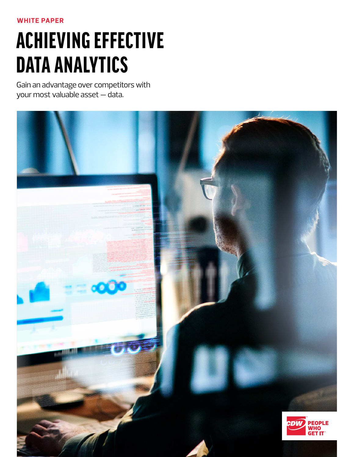**WHITE PAPER**

# ACHIEVING EFFECTIVE DATA ANALYTICS

Gain an advantage over competitors with your most valuable asset — data.

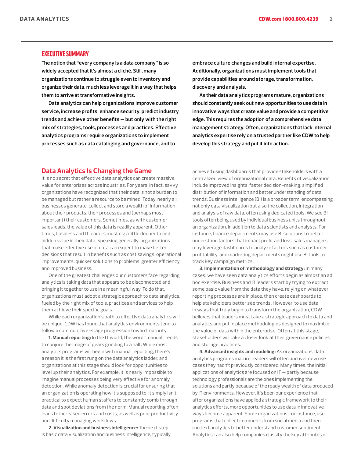## EXECUTIVE SUMMARY

**The notion that "every company is a data company" is so widely accepted that it's almost a cliché. Still, many organizations continue to struggle even to inventory and organize their data, much less leverage it in a way that helps them to arrive at transformative insights.**

**Data analytics can help organizations improve customer service, increase profits, enhance security, predict industry trends and achieve other benefits — but only with the right mix of strategies, tools, processes and practices. Effective analytics programs require organizations to implement processes such as data cataloging and governance, and to** 

**embrace culture changes and build internal expertise. Additionally, organizations must implement tools that provide capabilities around storage, transformation, discovery and analysis.**

**As their data analytics programs mature, organizations should constantly seek out new opportunities to use data in innovative ways that create value and provide a competitive edge. This requires the adoption of a comprehensive data management strategy. Often, organizations that lack internal analytics expertise rely on a trusted partner like CDW to help develop this strategy and put it into action.**

## **Data Analytics Is Changing the Game**

It is no secret that effective data analytics can create massive value for enterprises across industries. For years, in fact, savvy organizations have recognized that their data is not a burden to be managed but rather a resource to be mined. Today, nearly all businesses generate, collect and store a wealth of information about their products, their processes and (perhaps most important) their customers. Sometimes, as with customer sales leads, the value of this data is readily apparent. Other times, business and IT leaders must dig a little deeper to find hidden value in their data. Speaking generally, organizations that make effective use of data can expect to make better decisions that result in benefits such as cost savings, operational improvements, quicker solutions to problems, greater efficiency and improved business.

One of the greatest challenges our customers face regarding analytics is taking data that appears to be disconnected and bringing it together to use in a meaningful way. To do that, organizations must adopt a strategic approach to data analytics, fueled by the right mix of tools, practices and services to help them achieve their specific goals.

While each organization's path to effective data analytics will be unique, CDW has found that analytics environments tend to follow a common, five-stage progression toward maturity.

**1. Manual reporting:** In the IT world, the word "manual" tends to conjure the image of gears grinding to a halt. While most analytics programs will begin with manual reporting, there's a reason it is the first rung on the data analytics ladder, and organizations at this stage should look for opportunities to level up their analytics. For example, it is nearly impossible to imagine manual processes being very effective for anomaly detection. While anomaly detection is crucial for ensuring that an organization is operating how it's supposed to, it simply isn't practical to expect human staffers to constantly comb through data and spot deviations from the norm. Manual reporting often leads to increased errors and costs, as well as poor productivity and difficulty managing workflows.

**2. Visualization and business intelligence:** The next step is basic data visualization and business intelligence, typically achieved using dashboards that provide stakeholders with a centralized view of organizational data. Benefits of visualization include improved insights, faster decision-making, simplified distribution of information and better understanding of data trends. Business intelligence (BI) is a broader term, encompassing not only data visualization but also the collection, integration and analysis of raw data, often using dedicated tools. We see BI tools often being used by individual business units throughout an organization, in addition to data scientists and analysts. For instance, finance departments may use BI solutions to better understand factors that impact profit and loss, sales managers may leverage dashboards to analyze factors such as customer profitability, and marketing departments might use BI tools to track key campaign metrics.

**3. Implementation of methodology and strategy:** In many cases, we have seen data analytics efforts begin as almost an ad hoc exercise. Business and IT leaders start by trying to extract some basic value from the data they have, relying on whatever reporting processes are in place, then create dashboards to help stakeholders better see trends. However, to use data in ways that truly begin to transform the organization, CDW believes that leaders must take a strategic approach to data and analytics and put in place methodologies designed to maximize the value of data within the enterprise. Often at this stage, stakeholders will take a closer look at their governance policies and storage practices.

**4. Advanced insights and modeling:** As organizations' data analytics programs mature, leaders will often uncover new use cases they hadn't previously considered. Many times, the initial applications of analytics are focused on IT — partly because technology professionals are the ones implementing the solutions and partly because of the ready wealth of data produced by IT environments. However, it's been our experience that after organizations have applied a strategic framework to their analytics efforts, more opportunities to use data in innovative ways become apparent. Some organizations, for instance, use programs that collect comments from social media and then run text analytics to better understand customer sentiment. Analytics can also help companies classify the key attributes of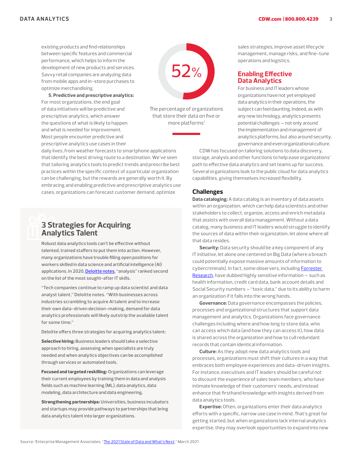existing products and find relationships between specific features and commercial performance, which helps to inform the development of new products and services. Savvy retail companies are analyzing data from mobile apps and in-store purchases to optimize merchandising.

**5. Predictive and prescriptive analytics:** For most organizations, the end goal of data initiatives will be predictive and prescriptive analytics, which answer the questions of what is likely to happen and what is needed for improvement. Most people encounter predictive and prescriptive analytics use cases in their



The percentage of organizations that store their data on five or more platforms<sup>1</sup>

daily lives, from weather forecasts to smartphone applications that identify the best driving route to a destination. We've seen that tailoring analytics tools to predict trends and prescribe best practices within the specific context of a particular organization can be challenging, but the rewards are generally worth it. By embracing and enabling predictive and prescriptive analytics use cases, organizations can forecast customer demand, optimize

## **3 Strategies for Acquiring Analytics Talent**

Robust data analytics tools can't be effective without talented, trained staffers to put them into action. However, many organizations have trouble filling open positions for workers skilled in data science and artificial intelligence (AI) applications. In 2020, [Deloitte notes](https://www2.deloitte.com/us/en/insights/industry/technology/data-analytics-skills-shortage.html), "analysis" ranked second on the list of the most sought-after IT skills.

"Tech companies continue to ramp up data scientist and data analyst talent," Deloitte notes. "With businesses across industries scrambling to acquire AI talent and to increase their own data-driven decision-making, demand for data analytics professionals will likely outstrip the available talent for some time."

Deloitte offers three strategies for acquiring analytics talent:

Selective hiring: Business leaders should take a selective approach to hiring, assessing when specialists are truly needed and when analytics objectives can be accomplished through services or automated tools.

Focused and targeted reskilling: Organizations can leverage their current employees by training them in data and analysis fields such as machine learning (ML), data analytics, data modeling, data architecture and data engineering.

Strengthening partnerships: Universities, business incubators and startups may provide pathways to partnerships that bring data analytics talent into larger organizations.

sales strategies, improve asset lifecycle management, manage risks, and fine-tune operations and logistics.

## **Enabling Effective Data Analytics**

For business and IT leaders whose organizations have not yet employed data analytics in their operations, the subject can feel daunting. Indeed, as with any new technology, analytics presents potential challenges — not only around the implementation and management of analytics platforms, but also around security, governance and even organizational culture.

CDW has focused on tailoring solutions to data discovery, storage, analysis and other functions to help ease organizations' path to effective data analytics and set teams up for success. Several organizations look to the public cloud for data analytics capabilities, giving themselves increased flexibility.

## **Challenges**

**Data cataloging:** A data catalog is an inventory of data assets within an organization, which can help data scientists and other stakeholders to collect, organize, access and enrich metadata that assists with overall data management. Without a data catalog, many business and IT leaders would struggle to identify the sources of data within their organization, let alone where all that data resides.

**Security:** Data security should be a key component of any IT initiative, let alone one centered on Big Data (where a breach could potentially expose massive amounts of information to cybercriminals). In fact, some observers, including [Forrester](https://go.forrester.com/blogs/09-03-20-data_toxicology/)  [Research,](https://go.forrester.com/blogs/09-03-20-data_toxicology/) have dubbed highly sensitive information — such as health information, credit card data, bank account details and Social Security numbers —"toxic data," due to its ability to harm an organization if it falls into the wrong hands.

**Governance:** Data governance encompasses the policies, processes and organizational structures that support data management and analytics. Organizations face governance challenges including where and how long to store data, who can access which data (and how they can access it), how data is shared across the organization and how to cull redundant records that contain identical information.

**Culture:** As they adopt new data analytics tools and processes, organizations must shift their cultures in a way that embraces both employee experiences and data-driven insights. For instance, executives and IT leaders should be careful not to discount the experience of sales team members, who have intimate knowledge of their customers' needs, and instead enhance that firsthand knowledge with insights derived from data analytics tools.

**Expertise:** Often, organizations enter their data analytics efforts with a specific, narrow use case in mind. That's great for getting started, but when organizations lack internal analytics expertise, they may overlook opportunities to expand into new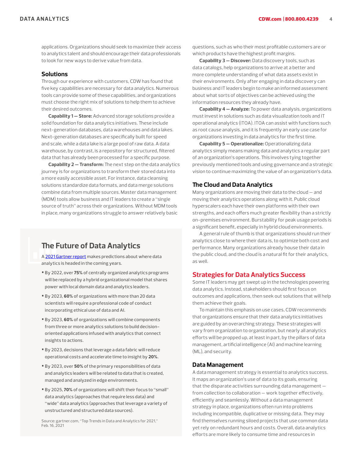applications. Organizations should seek to maximize their access to analytics talent and should encourage their data professionals to look for new ways to derive value from data.

#### **Solutions**

Through our experience with customers, CDW has found that five key capabilities are necessary for data analytics. Numerous tools can provide some of these capabilities, and organizations must choose the right mix of solutions to help them to achieve their desired outcomes.

**Capability 1 — Store:** Advanced storage solutions provide a solid foundation for data analytics initiatives. These include next-generation databases, data warehouses and data lakes. Next-generation databases are specifically built for speed and scale, while a data lake is a large pool of raw data. A data warehouse, by contrast, is a repository for structured, filtered data that has already been processed for a specific purpose.

**Capability 2 — Transform:** The next step on the data analytics journey is for organizations to transform their stored data into a more easily accessible asset. For instance, data cleansing solutions standardize data formats, and data merge solutions combine data from multiple sources. Master data management (MDM) tools allow business and IT leaders to create a "single source of truth" across their organizations. Without MDM tools in place, many organizations struggle to answer relatively basic

## **The Future of Data Analytics**

A [2021 Gartner report](https://www.gartner.com/doc/reprints?id=1-25H0ZLR2&ct=210317&st=sb) makes predictions about where data analytics is headed in the coming years.

- By 2022, over 75% of centrally organized analytics programs will be replaced by a hybrid organizational model that shares power with local domain data and analytics leaders.
- By 2023, 60% of organizations with more than 20 data scientists will require a professional code of conduct incorporating ethical use of data and AI.
- By 2023, 60% of organizations will combine components from three or more analytics solutions to build decisionoriented applications infused with analytics that connect insights to actions.
- By 2023, decisions that leverage a data fabric will reduce operational costs and accelerate time to insight by 20%.
- By 2023, over 50% of the primary responsibilities of data and analytics leaders will be related to data that is created, managed and analyzed in edge environments.
- By 2025, 70% of organizations will shift their focus to "small" data analytics (approaches that require less data) and "wide" data analytics (approaches that leverage a variety of unstructured and structured data sources).

Source: gartner.com, "Top Trends in Data and Analytics for 2021," Feb. 16, 2021

questions, such as who their most profitable customers are or which products have the highest profit margins.

**Capability 3 — Discover:** Data discovery tools, such as data catalogs, help organizations to arrive at a better and more complete understanding of what data assets exist in their environments. Only after engaging in data discovery can business and IT leaders begin to make an informed assessment about what sorts of objectives can be achieved using the information resources they already have.

**Capability 4 — Analyze:** To power data analysis, organizations must invest in solutions such as data visualization tools and IT operational analytics (ITOA). ITOA can assist with functions such as root cause analysis, and it is frequently an early use case for organizations investing in data analytics for the first time.

**Capability 5 — Operationalize:** Operationalizing data analytics simply means making data and analytics a regular part of an organization's operations. This involves tying together previously mentioned tools and using governance and a strategic vision to continue maximizing the value of an organization's data.

## **The Cloud and Data Analytics**

Many organizations are moving their data to the cloud — and moving their analytics operations along with it. Public cloud hyperscalers each have their own platforms with their own strengths, and each offers much greater flexibility than a strictly on-premises environment. Burstability for peak usage periods is a significant benefit, especially in hybrid cloud environments.

A general rule of thumb is that organizations should run their analytics close to where their data is, to optimize both cost and performance. Many organizations already house their data in the public cloud, and the cloud is a natural fit for their analytics, as well.

## **Strategies for Data Analytics Success**

Some IT leaders may get swept up in the technologies powering data analytics. Instead, stakeholders should first focus on outcomes and applications, then seek out solutions that will help them achieve their goals.

To maintain this emphasis on use cases, CDW recommends that organizations ensure that their data analytics initiatives are guided by an overarching strategy. These strategies will vary from organization to organization, but nearly all analytics efforts will be propped up, at least in part, by the pillars of data management, artificial intelligence (AI) and machine learning (ML), and security.

## **Data Management**

A data management strategy is essential to analytics success. It maps an organization's use of data to its goals, ensuring that the disparate activities surrounding data management from collection to collaboration — work together effectively, efficiently and seamlessly. Without a data management strategy in place, organizations often run into problems including incompatible, duplicative or missing data. They may find themselves running siloed projects that use common data yet rely on redundant hours and costs. Overall, data analytics efforts are more likely to consume time and resources in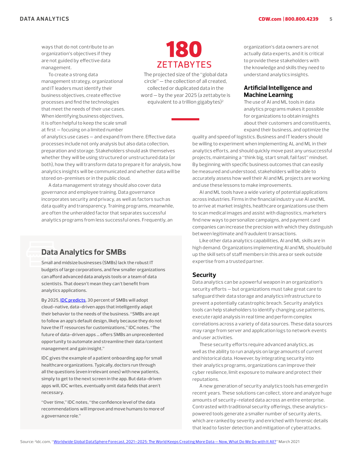ways that do not contribute to an organization's objectives if they are not guided by effective data management.

To create a strong data management strategy, organizational and IT leaders must identify their business objectives, create effective processes and find the technologies that meet the needs of their use cases. When identifying business objectives. it is often helpful to keep the scale small at first — focusing on a limited number



The projected size of the "global data circle" — the collection of all created, collected or duplicated data in the word — by the year 2025 (a zettabyte is equivalent to a trillion gigabytes)<sup>2</sup>

of analytics use cases — and expand from there. Effective data processes include not only analysis but also data collection, preparation and storage. Stakeholders should ask themselves whether they will be using structured or unstructured data (or both), how they will transform data to prepare it for analysis, how analytics insights will be communicated and whether data will be stored on-premises or in the public cloud.

A data management strategy should also cover data governance and employee training. Data governance incorporates security and privacy, as well as factors such as data quality and transparency. Training programs, meanwhile, are often the unheralded factor that separates successful analytics programs from less successful ones. Frequently, an

## **Data Analytics for SMBs**

Small and midsize businesses (SMBs) lack the robust IT budgets of large corporations, and few smaller organizations can afford advanced data analysis tools or a team of data scientists. That doesn't mean they can't benefit from analytics applications.

By 2025, [IDC predicts](https://idcdocserv.com/US46920420e_Talend), 30 percent of SMBs will adopt cloud-native, data-driven apps that intelligently adapt their behavior to the needs of the business. "SMBs are apt to follow an app's default design, likely because they do not have the IT resources for customizations," IDC notes. "The future of data-driven apps … offers SMBs an unprecedented opportunity to automate and streamline their data/content management and gain insight."

IDC gives the example of a patient onboarding app for small healthcare organizations. Typically, doctors run through all the questions (even irrelevant ones) with new patients, simply to get to the next screen in the app. But data-driven apps will, IDC writes, eventually omit data fields that aren't necessary.

"Over time," IDC notes, "the confidence level of the data recommendations will improve and move humans to more of a governance role."

organization's data owners are not actually data experts, and it is critical to provide these stakeholders with the knowledge and skills they need to understand analytics insights.

## **Artificial Intelligence and Machine Learning**

The use of AI and ML tools in data analytics programs makes it possible for organizations to obtain insights about their customers and constituents, expand their business, and optimize the

quality and speed of logistics. Business and IT leaders should be willing to experiment when implementing AL and ML in their analytics efforts, and should quickly move past any unsuccessful projects, maintaining a "think big, start small, fail fast" mindset. By beginning with specific business outcomes that can easily be measured and understood, stakeholders will be able to accurately assess how well their AI and ML projects are working and use these lessons to make improvements.

AI and ML tools have a wide variety of potential applications across industries. Firms in the financial industry use AI and ML to arrive at market insights, healthcare organizations use them to scan medical images and assist with diagnostics, marketers find new ways to personalize campaigns, and payment card companies can increase the precision with which they distinguish between legitimate and fraudulent transactions.

Like other data analytics capabilities, AI and ML skills are in high demand. Organizations implementing AI and ML should build up the skill sets of staff members in this area or seek outside expertise from a trusted partner.

## **Security**

Data analytics can be a powerful weapon in an organization's security efforts — but organizations must take great care to safeguard their data storage and analytics infrastructure to prevent a potentially catastrophic breach. Security analytics tools can help stakeholders to identify changing use patterns, execute rapid analysis in real time and perform complex correlations across a variety of data sources. These data sources may range from server and application logs to network events and user activities.

These security efforts require advanced analytics, as well as the ability to run analysis on large amounts of current and historical data. However, by integrating security into their analytics programs, organizations can improve their cyber resilience, limit exposure to malware and protect their reputations.

A new generation of security analytics tools has emerged in recent years. These solutions can collect, store and analyze huge amounts of security-related data across an entire enterprise. Contrasted with traditional security offerings, these analyticspowered tools generate a smaller number of security alerts, which are ranked by severity and enriched with forensic details that lead to faster detection and mitigation of cyberattacks.